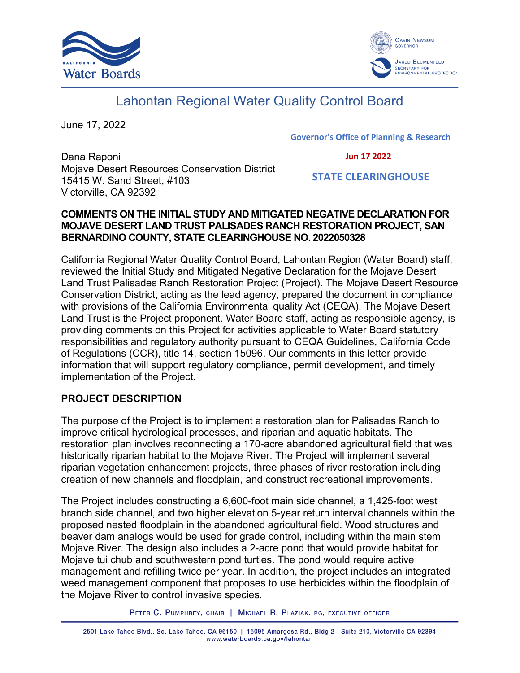



# Lahontan Regional Water Quality Control Board

June 17, 2022

**Governor's Office of Planning & Research**

 **Jun 17 2022**

Dana Raponi Mojave Desert Resources Conservation District 15415 W. Sand Street, #103 Victorville, CA 92392

 **STATE CLEARINGHOUSE**

## **COMMENTS ON THE INITIAL STUDY AND MITIGATED NEGATIVE DECLARATION FOR MOJAVE DESERT LAND TRUST PALISADES RANCH RESTORATION PROJECT, SAN BERNARDINO COUNTY, STATE CLEARINGHOUSE NO. 2022050328**

California Regional Water Quality Control Board, Lahontan Region (Water Board) staff, reviewed the Initial Study and Mitigated Negative Declaration for the Mojave Desert Land Trust Palisades Ranch Restoration Project (Project). The Mojave Desert Resource Conservation District, acting as the lead agency, prepared the document in compliance with provisions of the California Environmental quality Act (CEQA). The Mojave Desert Land Trust is the Project proponent. Water Board staff, acting as responsible agency, is providing comments on this Project for activities applicable to Water Board statutory responsibilities and regulatory authority pursuant to CEQA Guidelines, California Code of Regulations (CCR), title 14, section 15096. Our comments in this letter provide information that will support regulatory compliance, permit development, and timely implementation of the Project.

# **PROJECT DESCRIPTION**

The purpose of the Project is to implement a restoration plan for Palisades Ranch to improve critical hydrological processes, and riparian and aquatic habitats. The restoration plan involves reconnecting a 170-acre abandoned agricultural field that was historically riparian habitat to the Mojave River. The Project will implement several riparian vegetation enhancement projects, three phases of river restoration including creation of new channels and floodplain, and construct recreational improvements.

The Project includes constructing a 6,600-foot main side channel, a 1,425-foot west branch side channel, and two higher elevation 5-year return interval channels within the proposed nested floodplain in the abandoned agricultural field. Wood structures and beaver dam analogs would be used for grade control, including within the main stem Mojave River. The design also includes a 2-acre pond that would provide habitat for Mojave tui chub and southwestern pond turtles. The pond would require active management and refilling twice per year. In addition, the project includes an integrated weed management component that proposes to use herbicides within the floodplain of the Mojave River to control invasive species.

PETER C. PUMPHREY, CHAIR | MICHAEL R. PLAZIAK, PG, EXECUTIVE OFFICER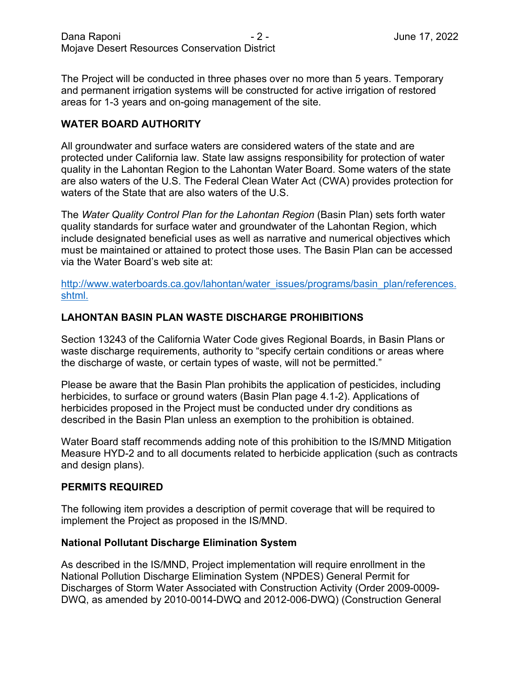The Project will be conducted in three phases over no more than 5 years. Temporary and permanent irrigation systems will be constructed for active irrigation of restored areas for 1-3 years and on-going management of the site.

## **WATER BOARD AUTHORITY**

All groundwater and surface waters are considered waters of the state and are protected under California law. State law assigns responsibility for protection of water quality in the Lahontan Region to the Lahontan Water Board. Some waters of the state are also waters of the U.S. The Federal Clean Water Act (CWA) provides protection for waters of the State that are also waters of the U.S.

The *Water Quality Control Plan for the Lahontan Region* (Basin Plan) sets forth water quality standards for surface water and groundwater of the Lahontan Region, which include designated beneficial uses as well as narrative and numerical objectives which must be maintained or attained to protect those uses. The Basin Plan can be accessed via the Water Board's web site at:

[http://www.waterboards.ca.gov/lahontan/water\\_issues/programs/basin\\_plan/references.](http://www.waterboards.ca.gov/lahontan/water_issues/programs/basin_plan/references.shtml.) [shtml.](http://www.waterboards.ca.gov/lahontan/water_issues/programs/basin_plan/references.shtml.)

## **LAHONTAN BASIN PLAN WASTE DISCHARGE PROHIBITIONS**

Section 13243 of the California Water Code gives Regional Boards, in Basin Plans or waste discharge requirements, authority to "specify certain conditions or areas where the discharge of waste, or certain types of waste, will not be permitted."

Please be aware that the Basin Plan prohibits the application of pesticides, including herbicides, to surface or ground waters (Basin Plan page 4.1-2). Applications of herbicides proposed in the Project must be conducted under dry conditions as described in the Basin Plan unless an exemption to the prohibition is obtained.

Water Board staff recommends adding note of this prohibition to the IS/MND Mitigation Measure HYD-2 and to all documents related to herbicide application (such as contracts and design plans).

#### **PERMITS REQUIRED**

The following item provides a description of permit coverage that will be required to implement the Project as proposed in the IS/MND.

#### **National Pollutant Discharge Elimination System**

As described in the IS/MND, Project implementation will require enrollment in the National Pollution Discharge Elimination System (NPDES) General Permit for Discharges of Storm Water Associated with Construction Activity (Order 2009-0009- DWQ, as amended by 2010-0014-DWQ and 2012-006-DWQ) (Construction General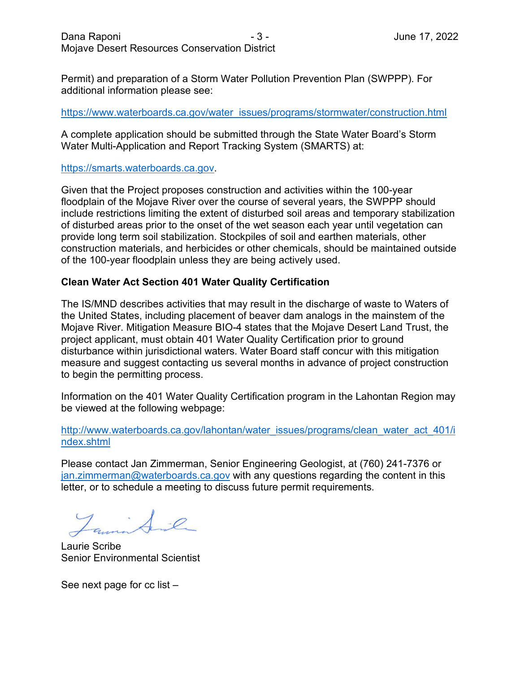Permit) and preparation of a Storm Water Pollution Prevention Plan (SWPPP). For additional information please see:

#### https://www.waterboards.ca.gov/water\_issues/programs/stormwater/construction.html

A complete application should be submitted through the State Water Board's Storm Water Multi-Application and Report Tracking System (SMARTS) at:

#### [https://smarts.waterboards.ca.gov.](https://smarts.waterboards.ca.gov/)

Given that the Project proposes construction and activities within the 100-year floodplain of the Mojave River over the course of several years, the SWPPP should include restrictions limiting the extent of disturbed soil areas and temporary stabilization of disturbed areas prior to the onset of the wet season each year until vegetation can provide long term soil stabilization. Stockpiles of soil and earthen materials, other construction materials, and herbicides or other chemicals, should be maintained outside of the 100-year floodplain unless they are being actively used.

#### **Clean Water Act Section 401 Water Quality Certification**

The IS/MND describes activities that may result in the discharge of waste to Waters of the United States, including placement of beaver dam analogs in the mainstem of the Mojave River. Mitigation Measure BIO-4 states that the Mojave Desert Land Trust, the project applicant, must obtain 401 Water Quality Certification prior to ground disturbance within jurisdictional waters. Water Board staff concur with this mitigation measure and suggest contacting us several months in advance of project construction to begin the permitting process.

Information on the 401 Water Quality Certification program in the Lahontan Region may be viewed at the following webpage:

[http://www.waterboards.ca.gov/lahontan/water\\_issues/programs/clean\\_water\\_act\\_401/i](http://www.waterboards.ca.gov/lahontan/water_issues/programs/clean_water_act_401/index.shtml) [ndex.shtml](http://www.waterboards.ca.gov/lahontan/water_issues/programs/clean_water_act_401/index.shtml) 

Please contact Jan Zimmerman, Senior Engineering Geologist, at (760) 241-7376 or [jan.zimmerman@waterboards.ca.gov](mailto:jan.zimmerman@waterboards.ca.gov) with any questions regarding the content in this letter, or to schedule a meeting to discuss future permit requirements.

Laurie Scribe Senior Environmental Scientist

See next page for cc list –